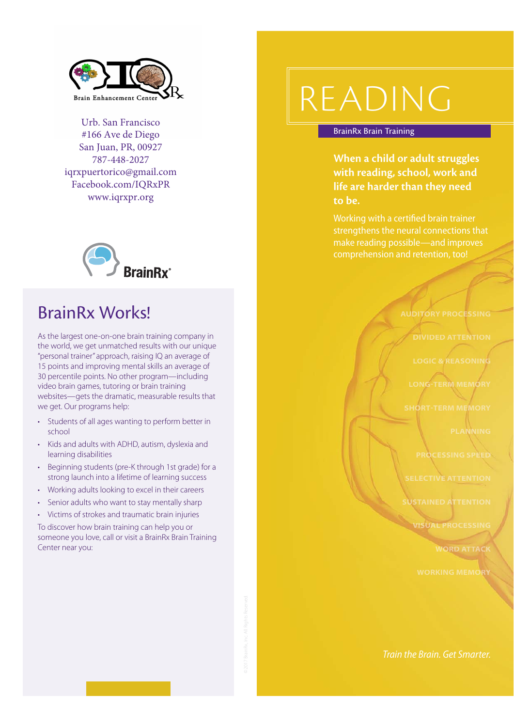

Urb. San Francisco #166 Ave de Diego San Juan, PR, 00927 787-448-2027 iqrxpuertorico@gmail.com Facebook.com/IQRxPR www.iqrxpr.org



### IQRx Works!

As the largest one-on-one brain training company in the world, we get unmatched results with our unique "personal trainer" approach, raising IQ an average of 15 points and improving mental skills an average of 30 percentile points. No other program—including video brain games, tutoring or brain training websites—gets the dramatic, measurable results that we get. Our programs help:

- **•** Students of all ages wanting to perform better in school
- Kids and adults with ADHD, autism, dyslexia and learning disabilities
- Beginning students (pre-K through 1st grade) for a strong launch into a lifetime of learning success
- Working adults looking to excel in their careers
- Senior adults who want to stay mentally sharp
- Victims of strokes and traumatic brain injuries

To discover how brain training can help you or someone you love, call or visit a IQRx Brain Enhancement Center:

> Urb. San Francisco #166 Ave de Diego San Juan, PR, 00927 787-448-2027 iqrxpuertorico@gmail.com Facebook.com/IQRxPR www.iqrxpr.org

# READING

#### BrainRx Brain Training Programs

**When a child or adult struggles with reading, school, work and life are harder than they need to be.** 

Working with a certified brain trainer make reading possible—and improves comprehension and retention, too!

**AUDITORY PROCESSING**

**DIVIDED ATTENTION**

**LOGIC & REASONIN** 

**LONGTERM MEMORY**

**RT-TERM MEMORY** 

**PLANNING**

**PROCESSING SPEED**

**SELECTIVE ATTENTION**

**STAINED ATTENTION** 

**VISUAL PROCESSING**

**WORD ATTACK**

**WORKING MEMORY**

Train the Brain. Get Smarter.